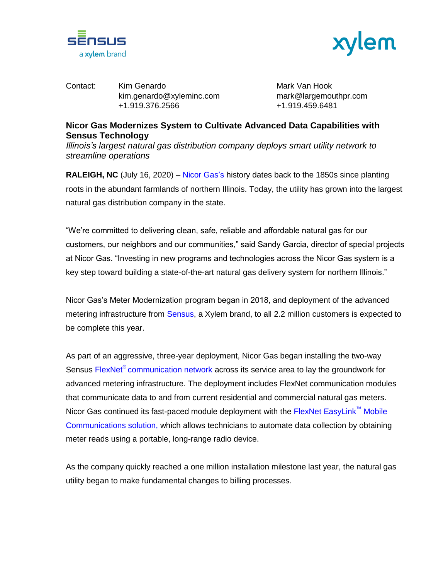



Contact: Kim Genardo **Mark Van Hook** Mark Van Hook kim.genardo@xyleminc.com mark@largemouthpr.com +1.919.376.2566 +1.919.459.6481

## **Nicor Gas Modernizes System to Cultivate Advanced Data Capabilities with Sensus Technology**

*Illinois's largest natural gas distribution company deploys smart utility network to streamline operations*

**RALEIGH, NC** (July 16, 2020) – [Nicor Gas'](https://www.nicorgas.com/)s history dates back to the 1850s since planting roots in the abundant farmlands of northern Illinois. Today, the utility has grown into the largest natural gas distribution company in the state.

"We're committed to delivering clean, safe, reliable and affordable natural gas for our customers, our neighbors and our communities," said Sandy Garcia, director of special projects at Nicor Gas. "Investing in new programs and technologies across the Nicor Gas system is a key step toward building a state-of-the-art natural gas delivery system for northern Illinois."

Nicor Gas's Meter Modernization program began in 2018, and deployment of the advanced metering infrastructure from [Sensus,](https://sensus.com/) a Xylem brand, to all 2.2 million customers is expected to be complete this year.

As part of an aggressive, three-year deployment, Nicor Gas began installing the two-way Sensus FlexNet<sup>®</sup> [communication network](https://sensus.com/communication-networks/sensus-technologies/flexnet-north-america/) across its service area to lay the groundwork for advanced metering infrastructure. The deployment includes FlexNet communication modules that communicate data to and from current residential and commercial natural gas meters. Nicor Gas continued its fast-paced module deployment with the [FlexNet EasyLink](https://sensus.com/solutions/flexnet-easylink-mobile-communications/)™ Mobile [Communications solution,](https://sensus.com/solutions/flexnet-easylink-mobile-communications/) which allows technicians to automate data collection by obtaining meter reads using a portable, long-range radio device.

As the company quickly reached a one million installation milestone last year, the natural gas utility began to make fundamental changes to billing processes.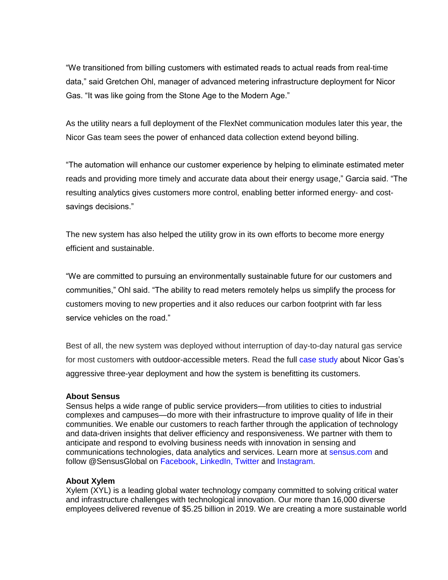"We transitioned from billing customers with estimated reads to actual reads from real-time data," said Gretchen Ohl, manager of advanced metering infrastructure deployment for Nicor Gas. "It was like going from the Stone Age to the Modern Age."

As the utility nears a full deployment of the FlexNet communication modules later this year, the Nicor Gas team sees the power of enhanced data collection extend beyond billing.

"The automation will enhance our customer experience by helping to eliminate estimated meter reads and providing more timely and accurate data about their energy usage," Garcia said. "The resulting analytics gives customers more control, enabling better informed energy- and costsavings decisions."

The new system has also helped the utility grow in its own efforts to become more energy efficient and sustainable.

"We are committed to pursuing an environmentally sustainable future for our customers and communities," Ohl said. "The ability to read meters remotely helps us simplify the process for customers moving to new properties and it also reduces our carbon footprint with far less service vehicles on the road."

Best of all, the new system was deployed without interruption of day-to-day natural gas service for most customers with outdoor-accessible meters. Read the full [case study](https://sensus.com/resources/case-studies/illinois-nicor-gas-evolves-system-to-cultivate-advanced-data-capabilities-with-sensus/) about Nicor Gas's aggressive three-year deployment and how the system is benefitting its customers.

## **About Sensus**

Sensus helps a wide range of public service providers—from utilities to cities to industrial complexes and campuses—do more with their infrastructure to improve quality of life in their communities. We enable our customers to reach farther through the application of technology and data-driven insights that deliver efficiency and responsiveness. We partner with them to anticipate and respond to evolving business needs with innovation in sensing and communications technologies, data analytics and services. Learn more at [sensus.com](http://www.sensus.com/) and follow @SensusGlobal on [Facebook,](https://www.facebook.com/SensusGlobal) [LinkedIn,](https://www.linkedin.com/company/sensus) [Twitter](https://twitter.com/SensusGlobal) and [Instagram.](http://www.instagram.com/sensusglobal)

## **About Xylem**

Xylem (XYL) is a leading global water technology company committed to solving critical water and infrastructure challenges with technological innovation. Our more than 16,000 diverse employees delivered revenue of \$5.25 billion in 2019. We are creating a more sustainable world